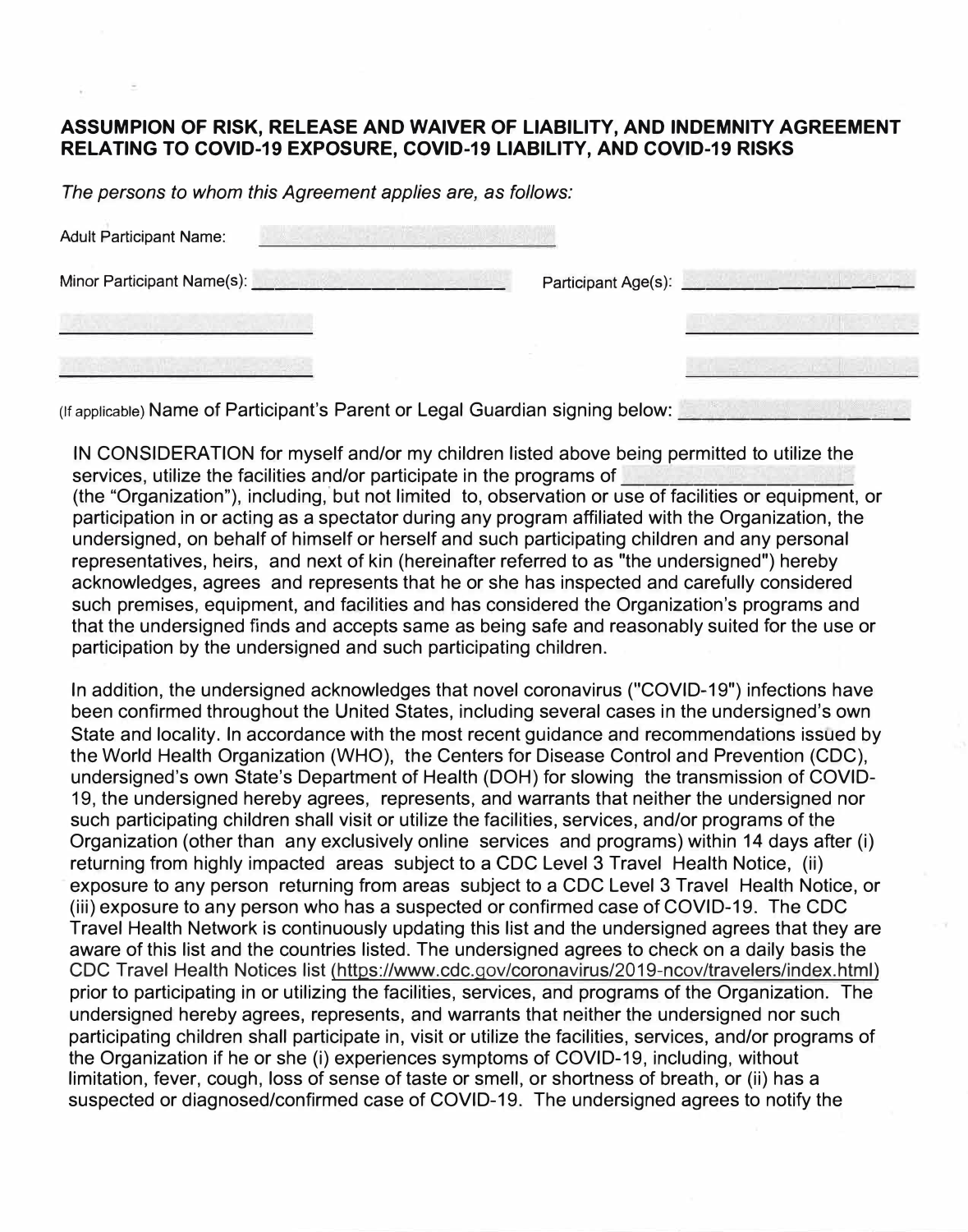## **ASSUMPION OF RISK, RELEASE AND WAIVER OF LIABILITY, AND INDEMNITY AGREEMENT RELATING TO COVID-19 EXPOSURE, COVID-19 LIABILITY, AND COVID-19 RISKS**

*The persons to whom this Agreement applies are, as follows:* 

| <b>Adult Participant Name:</b> |                     |  |
|--------------------------------|---------------------|--|
| Minor Participant Name(s):     | Participant Age(s): |  |
|                                |                     |  |
|                                |                     |  |

(If applicable) Name of Participant's Parent or Legal Guardian signing below: \_\_\_\_\_\_\_\_\_ \_

IN CONSIDERATION for myself and/or my children listed above being permitted to utilize the services, utilize the facilities and/or participate in the programs of

(the "Organization"), including, but not limited to, observation or use of facilities or equipment, or participation in or acting as a spectator during any program affiliated with the Organization, the undersigned, on behalf of himself or herself and such participating children and any personal representatives, heirs, and next of kin (hereinafter referred to as "the undersigned") hereby acknowledges, agrees and represents that he or she has inspected and carefully considered such premises, equipment, and facilities and has considered the Organization's programs and that the undersigned finds and accepts same as being safe and reasonably suited for the use or participation by the undersigned and such participating children.

In addition, the undersigned acknowledges that novel coronavirus ("COVID-19") infections have been confirmed throughout the United States, including several cases in the undersigned's own State and locality. In accordance with the most recent guidance and recommendations issued by the World Health Organization (WHO), the Centers for Disease Control and Prevention (CDC), undersigned's own State's Department of Health (DOH) for slowing the transmission of COVID-19, the undersigned hereby agrees, represents, and warrants that neither the undersigned nor such participating children shall visit or utilize the facilities, services, and/or programs of the Organization (other than any exclusively online services and programs) within 14 days after (i) returning from highly impacted areas subject to a CDC Level 3 Travel Health Notice, (ii) exposure to any person returning from areas subject to a CDC Level 3 Travel Health Notice, or (iii) exposure to any person who has a suspected or confirmed case of COVID-19. The CDC Travel Health Network is continuously updating this list and the undersigned agrees that they are aware of this list and the countries listed. The undersigned agrees to check on a daily basis the CDC Travel Health Notices list (https://www.cdc.gov/coronavirus/2019-ncov/travelers/index.html) prior to participating in or utilizing the facilities, services, and programs of the Organization. The undersigned hereby agrees, represents, and warrants that neither the undersigned nor such participating children shall participate in, visit or utilize the facilities, services, and/or programs of the Organization if he or she (i) experiences symptoms of COVID-19, including, without limitation, fever, cough, loss of sense of taste or smell, or shortness of breath, or (ii) has a suspected or diagnosed/confirmed case of COVID-19. The undersigned agrees to notify the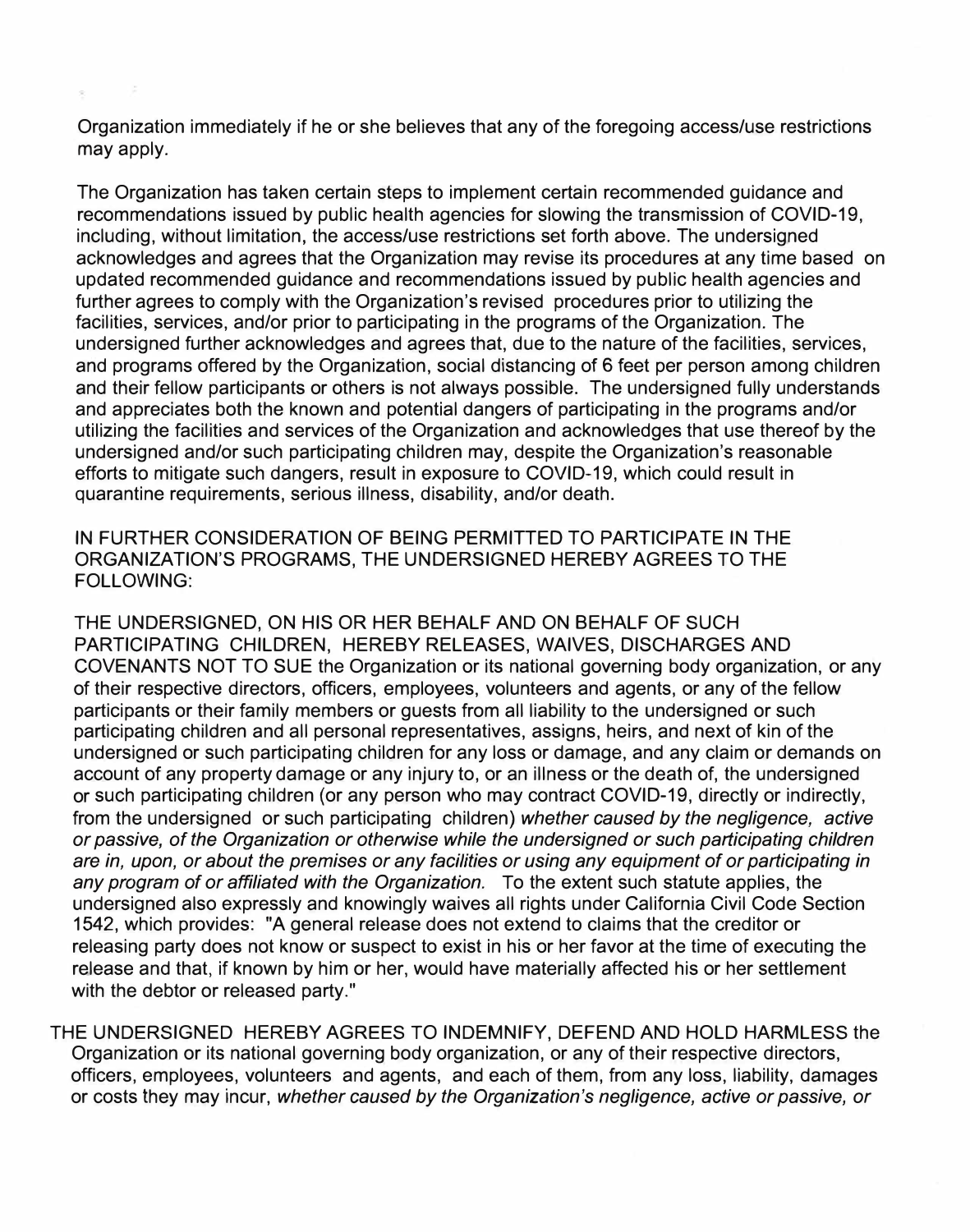Organization immediately if he or she believes that any of the foregoing access/use restrictions may apply.

The Organization has taken certain steps to implement certain recommended guidance and recommendations issued by public health agencies for slowing the transmission of COVID-19, including, without limitation, the access/use restrictions set forth above. The undersigned acknowledges and agrees that the Organization may revise its procedures at any time based on updated recommended guidance and recommendations issued by public health agencies and further agrees to comply with the Organization's revised procedures prior to utilizing the facilities, services, and/or prior to participating in the programs of the Organization. The undersigned further acknowledges and agrees that, due to the nature of the facilities, services, and programs offered by the Organization, social distancing of 6 feet per person among children and their fellow participants or others is not always possible. The undersigned fully understands and appreciates both the known and potential dangers of participating in the programs and/or utilizing the facilities and services of the Organization and acknowledges that use thereof by the undersigned and/or such participating children may, despite the Organization's reasonable efforts to mitigate such dangers, result in exposure to COVID-19, which could result in quarantine requirements, serious illness, disability, and/or death.

IN FURTHER CONSIDERATION OF BEING PERMITTED TO PARTICIPATE IN THE ORGANIZATION'S PROGRAMS, THE UNDERSIGNED HEREBY AGREES TO THE FOLLOWING:

THE UNDERSIGNED, ON HIS OR HER BEHALF AND ON BEHALF OF SUCH PARTICIPATING CHILDREN, HEREBY RELEASES, WAIVES, DISCHARGES AND COVENANTS NOT TO SUE the Organization or its national governing body organization, or any of their respective directors, officers, employees, volunteers and agents, or any of the fellow participants or their family members or guests from all liability to the undersigned or such participating children and all personal representatives, assigns, heirs, and next of kin of the undersigned or such participating children for any loss or damage, and any claim or demands on account of any property damage or any injury to, or an illness or the death of, the undersigned or such participating children (or any person who may contract COVID-19, directly or indirectly, from the undersigned or such participating children) *whether caused by the negligence, active or passive, of the Organization or otherwise while the undersigned or such participating children are in, upon, or about the premises or any facilities or using any equipment of or participating in any program of or affiliated with the Organization.* To the extent such statute applies, the undersigned also expressly and knowingly waives all rights under California Civil Code Section 1542, which provides: "A general release does not extend to claims that the creditor or releasing party does not know or suspect to exist in his or her favor at the time of executing the release and that, if known by him or her, would have materially affected his or her settlement with the debtor or released party."

THE UNDERSIGNED HEREBY AGREES TO INDEMNIFY, DEFEND AND HOLD HARMLESS the Organization or its national governing body organization, or any of their respective directors, officers, employees, volunteers and agents, and each of them, from any loss, liability, damages or costs they may incur, *whether caused by the Organization's negligence, active or passive, or*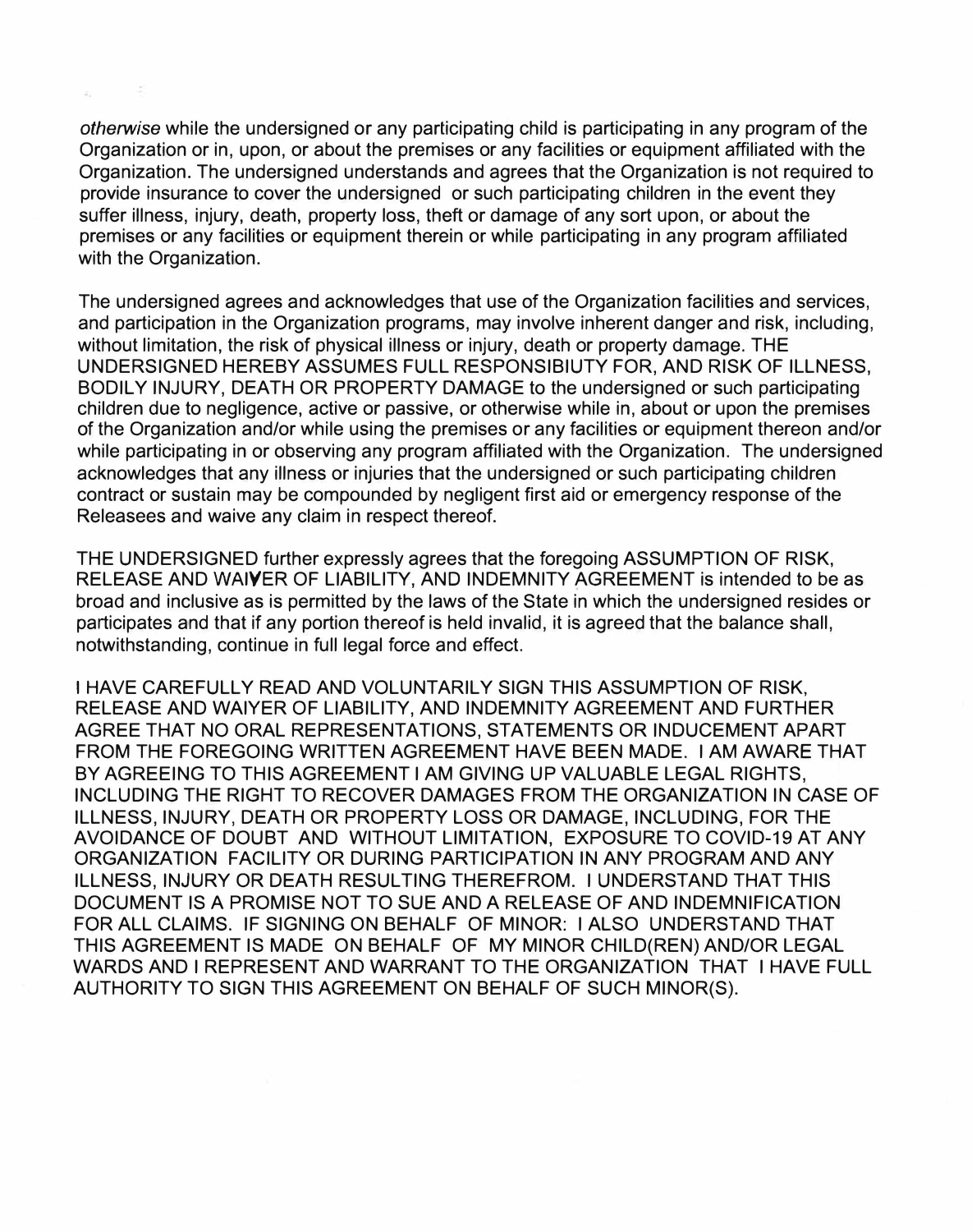*otherwise* while the undersigned or any participating child is participating in any program of the Organization or in, upon, or about the premises or any facilities or equipment affiliated with the Organization. The undersigned understands and agrees that the Organization is not required to provide insurance to cover the undersigned or such participating children in the event they suffer illness, injury, death, property loss, theft or damage of any sort upon, or about the premises or any facilities or equipment therein or while participating in any program affiliated with the Organization.

The undersigned agrees and acknowledges that use of the Organization facilities and services, and participation in the Organization programs, may involve inherent danger and risk, including, without limitation, the risk of physical illness or injury, death or property damage. THE UNDERSIGNED HEREBY ASSUMES FULL RESPONSIBIUTY FOR, AND RISK OF ILLNESS, BODILY INJURY, DEATH OR PROPERTY DAMAGE to the undersigned or such participating children due to negligence, active or passive, or otherwise while in, about or upon the premises of the Organization and/or while using the premises or any facilities or equipment thereon and/or while participating in or observing any program affiliated with the Organization. The undersigned acknowledges that any illness or injuries that the undersigned or such participating children contract or sustain may be compounded by negligent first aid or emergency response of the Releasees and waive any claim in respect thereof.

THE UNDERSIGNED further expressly agrees that the foregoing ASSUMPTION OF RISK, RELEASE AND **WAIVER** OF LIABILITY, AND INDEMNITY AGREEMENT is intended to be as broad and inclusive as is permitted by the laws of the State in which the undersigned resides or participates and that if any portion thereof is held invalid, it is agreed that the balance shall, notwithstanding, continue in full legal force and effect.

I HAVE CAREFULLY READ AND VOLUNTARILY SIGN THIS ASSUMPTION OF RISK, RELEASE AND WAIVER OF LIABILITY, AND INDEMNITY AGREEMENT AND FURTHER AGREE THAT NO ORAL REPRESENTATIONS, STATEMENTS OR INDUCEMENT APART FROM THE FOREGOING WRITTEN AGREEMENT HAVE BEEN MADE. I AM AWARE THAT BY AGREEING TO THIS AGREEMENT I AM GIVING UP VALUABLE LEGAL RIGHTS, INCLUDING THE RIGHT TO RECOVER DAMAGES FROM THE ORGANIZATION IN CASE OF ILLNESS, INJURY, DEATH OR PROPERTY LOSS OR DAMAGE, INCLUDING, FOR THE AVOIDANCE OF DOUBT AND WITHOUT LIMITATION, EXPOSURE TO COVID-19 AT ANY ORGANIZATION FACILITY OR DURING PARTICIPATION IN ANY PROGRAM AND ANY ILLNESS, INJURY OR DEATH RESULTING THEREFROM. I UNDERSTAND THAT THIS DOCUMENT IS A PROMISE NOT TO SUE AND A RELEASE OF AND INDEMNIFICATION FOR ALL CLAIMS. IF SIGNING ON BEHALF OF MINOR: I ALSO UNDERSTAND THAT THIS AGREEMENT IS MADE ON BEHALF OF MY MINOR CHILD(REN) AND/OR LEGAL WARDS AND I REPRESENT AND WARRANT TO THE ORGANIZATION THAT I HAVE FULL AUTHORITY TO SIGN THIS AGREEMENT ON BEHALF OF SUCH MINOR(S).